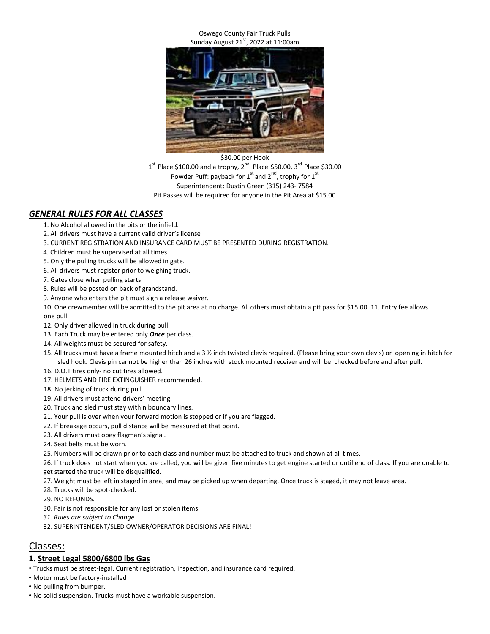#### Oswego County Fair Truck Pulls Sunday August  $21^{st}$ , 2022 at 11:00am



 $1<sup>st</sup>$  Place \$100.00 and a trophy,  $2<sup>nd</sup>$  Place \$50.00, 3<sup>rd</sup> Place \$30.00 Powder Puff: payback for  $1^{\text{st}}$  and  $2^{\text{nd}}$ , trophy for  $1^{\text{st}}$ Superintendent: Dustin Green (315) 243- 7584 Pit Passes will be required for anyone in the Pit Area at \$15.00

# *GENERAL RULES FOR ALL CLASSES*

- 1. No Alcohol allowed in the pits or the infield.
- 2. All drivers must have a current valid driver's license
- 3. CURRENT REGISTRATION AND INSURANCE CARD MUST BE PRESENTED DURING REGISTRATION.
- 4. Children must be supervised at all times
- 5. Only the pulling trucks will be allowed in gate.
- 6. All drivers must register prior to weighing truck.
- 7. Gates close when pulling starts.
- 8. Rules will be posted on back of grandstand.
- 9. Anyone who enters the pit must sign a release waiver.

10. One crewmember will be admitted to the pit area at no charge. All others must obtain a pit pass for \$15.00. 11. Entry fee allows one pull.

- 12. Only driver allowed in truck during pull.
- 13. Each Truck may be entered only *Once* per class.
- 14. All weights must be secured for safety.
- 15. All trucks must have a frame mounted hitch and a 3 ½ inch twisted clevis required. (Please bring your own clevis) or opening in hitch for sled hook. Clevis pin cannot be higher than 26 inches with stock mounted receiver and will be checked before and after pull.
- 16. D.O.T tires only- no cut tires allowed.
- 17. HELMETS AND FIRE EXTINGUISHER recommended.
- 18. No jerking of truck during pull
- 19. All drivers must attend drivers' meeting.
- 20. Truck and sled must stay within boundary lines.
- 21. Your pull is over when your forward motion is stopped or if you are flagged.
- 22. If breakage occurs, pull distance will be measured at that point.
- 23. All drivers must obey flagman's signal.
- 24. Seat belts must be worn.
- 25. Numbers will be drawn prior to each class and number must be attached to truck and shown at all times.
- 26. If truck does not start when you are called, you will be given five minutes to get engine started or until end of class. If you are unable to
- get started the truck will be disqualified.
- 27. Weight must be left in staged in area, and may be picked up when departing. Once truck is staged, it may not leave area.
- 28. Trucks will be spot-checked.
- 29. NO REFUNDS.
- 30. Fair is not responsible for any lost or stolen items.
- *31. Rules are subject to Change.*
- 32. SUPERINTENDENT/SLED OWNER/OPERATOR DECISIONS ARE FINAL!

# Classes:

## **1. Street Legal 5800/6800 lbs Gas**

• Trucks must be street-legal. Current registration, inspection, and insurance card required.

- Motor must be factory-installed
- No pulling from bumper.
- No solid suspension. Trucks must have a workable suspension.